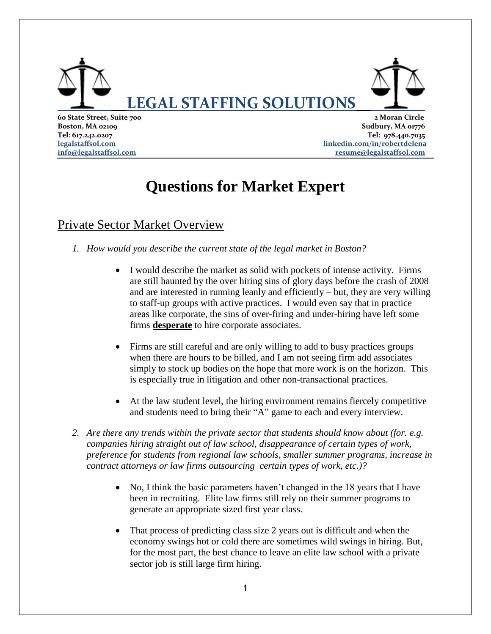

**60 State Street, Suite 700 2 Moran Circle Boston, MA 02109** Sudbury, MA 01776 **Tel: 617.242.0207 Tel: 978.440.7035 [legalstaffsol.com](http://www.legalstaffsol.com/) [linkedin.com/in/robertdelena](https://www.linkedin.com/in/robertdelena) [info@legalstaffsol.com](mailto:info@legalstaffsol.com) [resume@legalstaffsol.com](mailto:resume@legalstaffsol.com)**

# **Questions for Market Expert**

# Private Sector Market Overview

- *1. How would you describe the current state of the legal market in Boston?* 
	- I would describe the market as solid with pockets of intense activity. Firms are still haunted by the over hiring sins of glory days before the crash of 2008 and are interested in running leanly and efficiently – but, they are very willing to staff-up groups with active practices. I would even say that in practice areas like corporate, the sins of over-firing and under-hiring have left some firms **desperate** to hire corporate associates.
	- Firms are still careful and are only willing to add to busy practices groups when there are hours to be billed, and I am not seeing firm add associates simply to stock up bodies on the hope that more work is on the horizon. This is especially true in litigation and other non-transactional practices.
	- At the law student level, the hiring environment remains fiercely competitive and students need to bring their "A" game to each and every interview.
- *2. Are there any trends within the private sector that students should know about (for. e.g. companies hiring straight out of law school, disappearance of certain types of work, preference for students from regional law schools, smaller summer programs, increase in contract attorneys or law firms outsourcing certain types of work, etc.)?*
	- No, I think the basic parameters haven't changed in the 18 years that I have been in recruiting. Elite law firms still rely on their summer programs to generate an appropriate sized first year class.
	- That process of predicting class size 2 years out is difficult and when the economy swings hot or cold there are sometimes wild swings in hiring. But, for the most part, the best chance to leave an elite law school with a private sector job is still large firm hiring.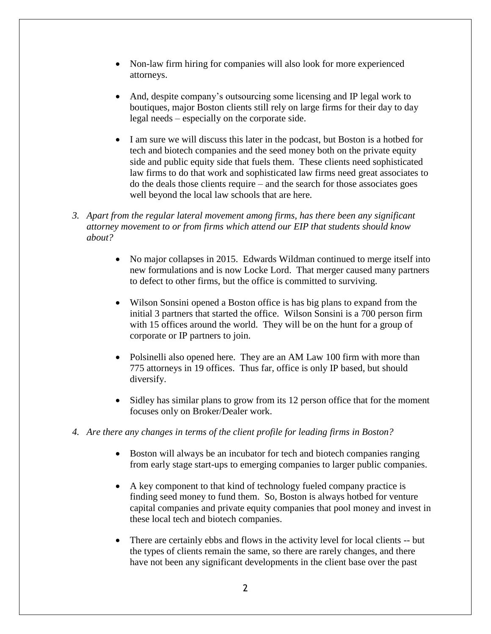- Non-law firm hiring for companies will also look for more experienced attorneys.
- And, despite company's outsourcing some licensing and IP legal work to boutiques, major Boston clients still rely on large firms for their day to day legal needs – especially on the corporate side.
- I am sure we will discuss this later in the podcast, but Boston is a hotbed for tech and biotech companies and the seed money both on the private equity side and public equity side that fuels them. These clients need sophisticated law firms to do that work and sophisticated law firms need great associates to do the deals those clients require – and the search for those associates goes well beyond the local law schools that are here.
- *3. Apart from the regular lateral movement among firms, has there been any significant attorney movement to or from firms which attend our EIP that students should know about?* 
	- No major collapses in 2015. Edwards Wildman continued to merge itself into new formulations and is now Locke Lord. That merger caused many partners to defect to other firms, but the office is committed to surviving.
	- Wilson Sonsini opened a Boston office is has big plans to expand from the initial 3 partners that started the office. Wilson Sonsini is a 700 person firm with 15 offices around the world. They will be on the hunt for a group of corporate or IP partners to join.
	- Polsinelli also opened here. They are an AM Law 100 firm with more than 775 attorneys in 19 offices. Thus far, office is only IP based, but should diversify.
	- Sidley has similar plans to grow from its 12 person office that for the moment focuses only on Broker/Dealer work.
- *4. Are there any changes in terms of the client profile for leading firms in Boston?*
	- Boston will always be an incubator for tech and biotech companies ranging from early stage start-ups to emerging companies to larger public companies.
	- A key component to that kind of technology fueled company practice is finding seed money to fund them. So, Boston is always hotbed for venture capital companies and private equity companies that pool money and invest in these local tech and biotech companies.
	- There are certainly ebbs and flows in the activity level for local clients -- but the types of clients remain the same, so there are rarely changes, and there have not been any significant developments in the client base over the past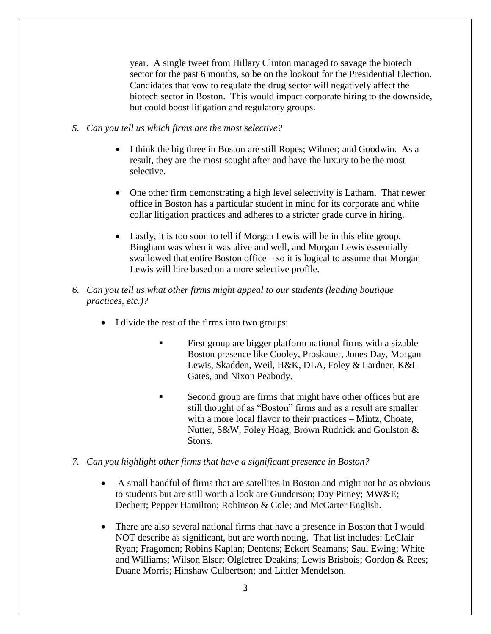year. A single tweet from Hillary Clinton managed to savage the biotech sector for the past 6 months, so be on the lookout for the Presidential Election. Candidates that vow to regulate the drug sector will negatively affect the biotech sector in Boston. This would impact corporate hiring to the downside, but could boost litigation and regulatory groups.

- *5. Can you tell us which firms are the most selective?* 
	- I think the big three in Boston are still Ropes; Wilmer; and Goodwin. As a result, they are the most sought after and have the luxury to be the most selective.
	- One other firm demonstrating a high level selectivity is Latham. That newer office in Boston has a particular student in mind for its corporate and white collar litigation practices and adheres to a stricter grade curve in hiring.
	- Lastly, it is too soon to tell if Morgan Lewis will be in this elite group. Bingham was when it was alive and well, and Morgan Lewis essentially swallowed that entire Boston office – so it is logical to assume that Morgan Lewis will hire based on a more selective profile.
- *6. Can you tell us what other firms might appeal to our students (leading boutique practices, etc.)?*
	- I divide the rest of the firms into two groups:
		- First group are bigger platform national firms with a sizable Boston presence like Cooley, Proskauer, Jones Day, Morgan Lewis, Skadden, Weil, H&K, DLA, Foley & Lardner, K&L Gates, and Nixon Peabody.
		- Second group are firms that might have other offices but are still thought of as "Boston" firms and as a result are smaller with a more local flavor to their practices – Mintz, Choate, Nutter, S&W, Foley Hoag, Brown Rudnick and Goulston & Storrs.
- *7. Can you highlight other firms that have a significant presence in Boston?* 
	- A small handful of firms that are satellites in Boston and might not be as obvious to students but are still worth a look are Gunderson; Day Pitney; MW&E; Dechert; Pepper Hamilton; Robinson & Cole; and McCarter English.
	- There are also several national firms that have a presence in Boston that I would NOT describe as significant, but are worth noting. That list includes: LeClair Ryan; Fragomen; Robins Kaplan; Dentons; Eckert Seamans; Saul Ewing; White and Williams; Wilson Elser; Olgletree Deakins; Lewis Brisbois; Gordon & Rees; Duane Morris; Hinshaw Culbertson; and Littler Mendelson.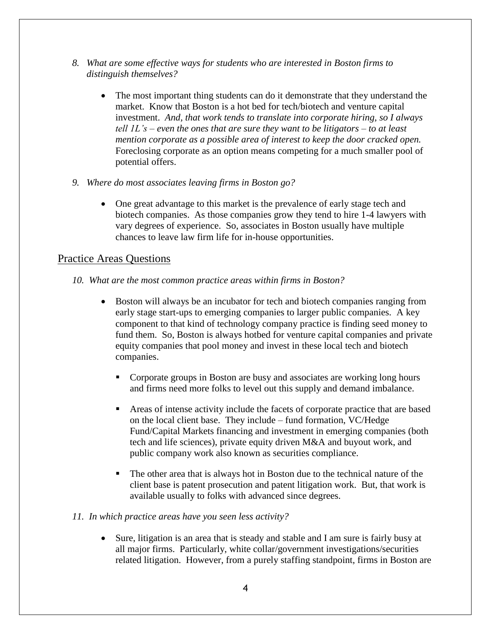- *8. What are some effective ways for students who are interested in Boston firms to distinguish themselves?*
	- The most important thing students can do it demonstrate that they understand the market. Know that Boston is a hot bed for tech/biotech and venture capital investment. *And, that work tends to translate into corporate hiring, so I always tell 1L's – even the ones that are sure they want to be litigators – to at least mention corporate as a possible area of interest to keep the door cracked open.* Foreclosing corporate as an option means competing for a much smaller pool of potential offers.
- *9. Where do most associates leaving firms in Boston go?* 
	- One great advantage to this market is the prevalence of early stage tech and biotech companies. As those companies grow they tend to hire 1-4 lawyers with vary degrees of experience. So, associates in Boston usually have multiple chances to leave law firm life for in-house opportunities.

## Practice Areas Questions

- *10. What are the most common practice areas within firms in Boston?* 
	- Boston will always be an incubator for tech and biotech companies ranging from early stage start-ups to emerging companies to larger public companies. A key component to that kind of technology company practice is finding seed money to fund them. So, Boston is always hotbed for venture capital companies and private equity companies that pool money and invest in these local tech and biotech companies.
		- Corporate groups in Boston are busy and associates are working long hours and firms need more folks to level out this supply and demand imbalance.
		- Areas of intense activity include the facets of corporate practice that are based on the local client base. They include – fund formation, VC/Hedge Fund/Capital Markets financing and investment in emerging companies (both tech and life sciences), private equity driven M&A and buyout work, and public company work also known as securities compliance.
		- The other area that is always hot in Boston due to the technical nature of the client base is patent prosecution and patent litigation work. But, that work is available usually to folks with advanced since degrees.

#### *11. In which practice areas have you seen less activity?*

 Sure, litigation is an area that is steady and stable and I am sure is fairly busy at all major firms. Particularly, white collar/government investigations/securities related litigation. However, from a purely staffing standpoint, firms in Boston are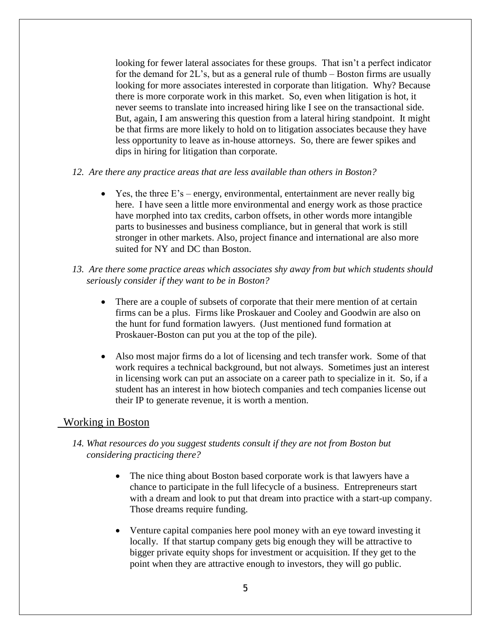looking for fewer lateral associates for these groups. That isn't a perfect indicator for the demand for 2L's, but as a general rule of thumb – Boston firms are usually looking for more associates interested in corporate than litigation. Why? Because there is more corporate work in this market. So, even when litigation is hot, it never seems to translate into increased hiring like I see on the transactional side. But, again, I am answering this question from a lateral hiring standpoint. It might be that firms are more likely to hold on to litigation associates because they have less opportunity to leave as in-house attorneys. So, there are fewer spikes and dips in hiring for litigation than corporate.

- *12. Are there any practice areas that are less available than others in Boston?*
	- $\bullet$  Yes, the three E's energy, environmental, entertainment are never really big here. I have seen a little more environmental and energy work as those practice have morphed into tax credits, carbon offsets, in other words more intangible parts to businesses and business compliance, but in general that work is still stronger in other markets. Also, project finance and international are also more suited for NY and DC than Boston.
- *13. Are there some practice areas which associates shy away from but which students should seriously consider if they want to be in Boston?*
	- There are a couple of subsets of corporate that their mere mention of at certain firms can be a plus. Firms like Proskauer and Cooley and Goodwin are also on the hunt for fund formation lawyers. (Just mentioned fund formation at Proskauer-Boston can put you at the top of the pile).
	- Also most major firms do a lot of licensing and tech transfer work. Some of that work requires a technical background, but not always. Sometimes just an interest in licensing work can put an associate on a career path to specialize in it. So, if a student has an interest in how biotech companies and tech companies license out their IP to generate revenue, it is worth a mention.

#### Working in Boston

- *14. What resources do you suggest students consult if they are not from Boston but considering practicing there?*
	- The nice thing about Boston based corporate work is that lawyers have a chance to participate in the full lifecycle of a business. Entrepreneurs start with a dream and look to put that dream into practice with a start-up company. Those dreams require funding.
	- Venture capital companies here pool money with an eye toward investing it locally. If that startup company gets big enough they will be attractive to bigger private equity shops for investment or acquisition. If they get to the point when they are attractive enough to investors, they will go public.